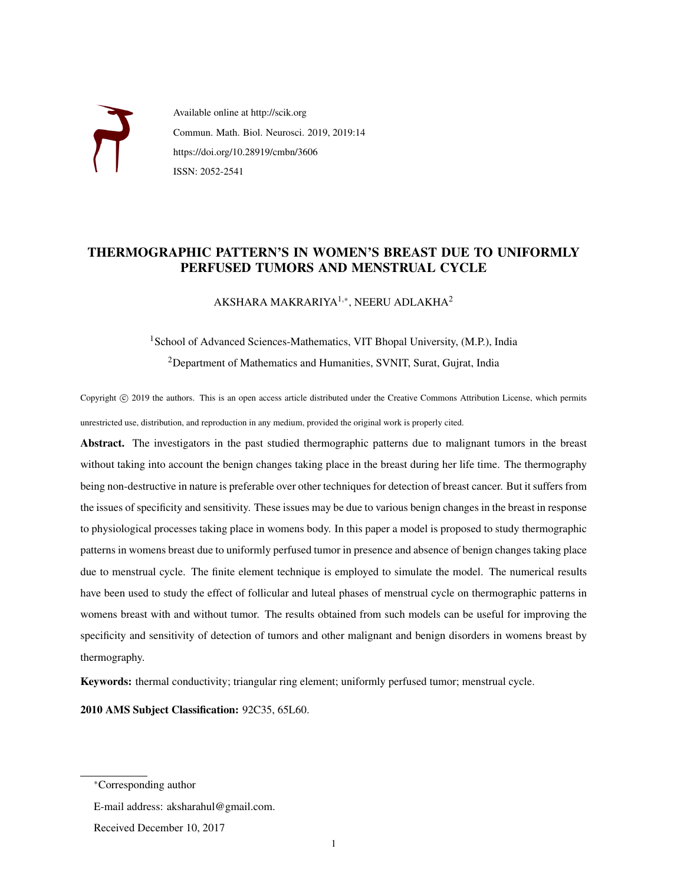

Available online at http://scik.org Commun. Math. Biol. Neurosci. 2019, 2019:14 https://doi.org/10.28919/cmbn/3606 ISSN: 2052-2541

### THERMOGRAPHIC PATTERN'S IN WOMEN'S BREAST DUE TO UNIFORMLY PERFUSED TUMORS AND MENSTRUAL CYCLE

AKSHARA MAKRARIYA $^{1,*}$ , NEERU ADLAKHA $^{2}$ 

# <sup>1</sup>School of Advanced Sciences-Mathematics, VIT Bhopal University, (M.P.), India <sup>2</sup>Department of Mathematics and Humanities, SVNIT, Surat, Gujrat, India

Copyright © 2019 the authors. This is an open access article distributed under the Creative Commons Attribution License, which permits unrestricted use, distribution, and reproduction in any medium, provided the original work is properly cited.

Abstract. The investigators in the past studied thermographic patterns due to malignant tumors in the breast without taking into account the benign changes taking place in the breast during her life time. The thermography being non-destructive in nature is preferable over other techniques for detection of breast cancer. But it suffers from the issues of specificity and sensitivity. These issues may be due to various benign changes in the breast in response to physiological processes taking place in womens body. In this paper a model is proposed to study thermographic patterns in womens breast due to uniformly perfused tumor in presence and absence of benign changes taking place due to menstrual cycle. The finite element technique is employed to simulate the model. The numerical results have been used to study the effect of follicular and luteal phases of menstrual cycle on thermographic patterns in womens breast with and without tumor. The results obtained from such models can be useful for improving the specificity and sensitivity of detection of tumors and other malignant and benign disorders in womens breast by thermography.

Keywords: thermal conductivity; triangular ring element; uniformly perfused tumor; menstrual cycle.

2010 AMS Subject Classification: 92C35, 65L60.

<sup>∗</sup>Corresponding author

E-mail address: aksharahul@gmail.com.

Received December 10, 2017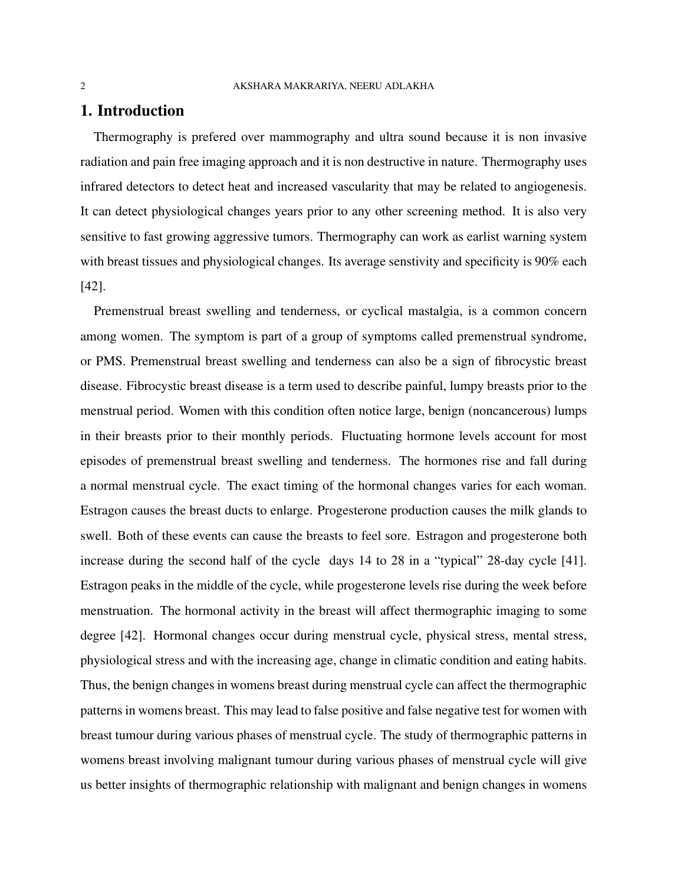### 1. Introduction

Thermography is prefered over mammography and ultra sound because it is non invasive radiation and pain free imaging approach and it is non destructive in nature. Thermography uses infrared detectors to detect heat and increased vascularity that may be related to angiogenesis. It can detect physiological changes years prior to any other screening method. It is also very sensitive to fast growing aggressive tumors. Thermography can work as earlist warning system with breast tissues and physiological changes. Its average senstivity and specificity is 90% each [42].

Premenstrual breast swelling and tenderness, or cyclical mastalgia, is a common concern among women. The symptom is part of a group of symptoms called premenstrual syndrome, or PMS. Premenstrual breast swelling and tenderness can also be a sign of fibrocystic breast disease. Fibrocystic breast disease is a term used to describe painful, lumpy breasts prior to the menstrual period. Women with this condition often notice large, benign (noncancerous) lumps in their breasts prior to their monthly periods. Fluctuating hormone levels account for most episodes of premenstrual breast swelling and tenderness. The hormones rise and fall during a normal menstrual cycle. The exact timing of the hormonal changes varies for each woman. Estragon causes the breast ducts to enlarge. Progesterone production causes the milk glands to swell. Both of these events can cause the breasts to feel sore. Estragon and progesterone both increase during the second half of the cycle days 14 to 28 in a "typical" 28-day cycle [41]. Estragon peaks in the middle of the cycle, while progesterone levels rise during the week before menstruation. The hormonal activity in the breast will affect thermographic imaging to some degree [42]. Hormonal changes occur during menstrual cycle, physical stress, mental stress, physiological stress and with the increasing age, change in climatic condition and eating habits. Thus, the benign changes in womens breast during menstrual cycle can affect the thermographic patterns in womens breast. This may lead to false positive and false negative test for women with breast tumour during various phases of menstrual cycle. The study of thermographic patterns in womens breast involving malignant tumour during various phases of menstrual cycle will give us better insights of thermographic relationship with malignant and benign changes in womens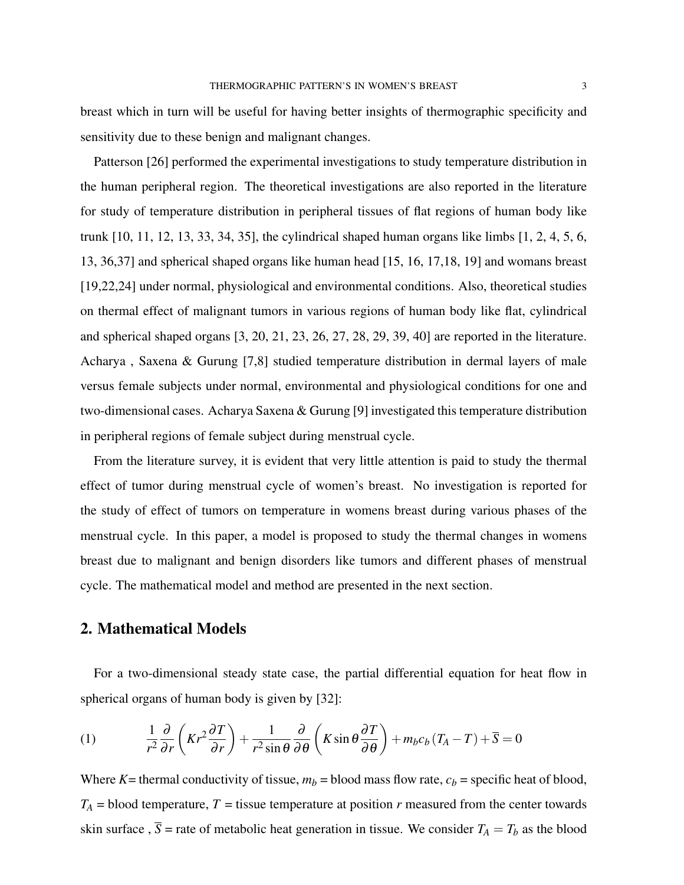breast which in turn will be useful for having better insights of thermographic specificity and sensitivity due to these benign and malignant changes.

Patterson [26] performed the experimental investigations to study temperature distribution in the human peripheral region. The theoretical investigations are also reported in the literature for study of temperature distribution in peripheral tissues of flat regions of human body like trunk [10, 11, 12, 13, 33, 34, 35], the cylindrical shaped human organs like limbs [1, 2, 4, 5, 6, 13, 36,37] and spherical shaped organs like human head [15, 16, 17,18, 19] and womans breast [19,22,24] under normal, physiological and environmental conditions. Also, theoretical studies on thermal effect of malignant tumors in various regions of human body like flat, cylindrical and spherical shaped organs [3, 20, 21, 23, 26, 27, 28, 29, 39, 40] are reported in the literature. Acharya , Saxena & Gurung [7,8] studied temperature distribution in dermal layers of male versus female subjects under normal, environmental and physiological conditions for one and two-dimensional cases. Acharya Saxena & Gurung [9] investigated this temperature distribution in peripheral regions of female subject during menstrual cycle.

From the literature survey, it is evident that very little attention is paid to study the thermal effect of tumor during menstrual cycle of women's breast. No investigation is reported for the study of effect of tumors on temperature in womens breast during various phases of the menstrual cycle. In this paper, a model is proposed to study the thermal changes in womens breast due to malignant and benign disorders like tumors and different phases of menstrual cycle. The mathematical model and method are presented in the next section.

# 2. Mathematical Models

For a two-dimensional steady state case, the partial differential equation for heat flow in spherical organs of human body is given by [32]:

(1) 
$$
\frac{1}{r^2}\frac{\partial}{\partial r}\left(Kr^2\frac{\partial T}{\partial r}\right) + \frac{1}{r^2\sin\theta}\frac{\partial}{\partial \theta}\left(K\sin\theta\frac{\partial T}{\partial \theta}\right) + m_b c_b (T_A - T) + \overline{S} = 0
$$

Where *K*= thermal conductivity of tissue,  $m_b$  = blood mass flow rate,  $c_b$  = specific heat of blood,  $T_A$  = blood temperature, *T* = tissue temperature at position *r* measured from the center towards skin surface ,  $\overline{S}$  = rate of metabolic heat generation in tissue. We consider  $T_A = T_b$  as the blood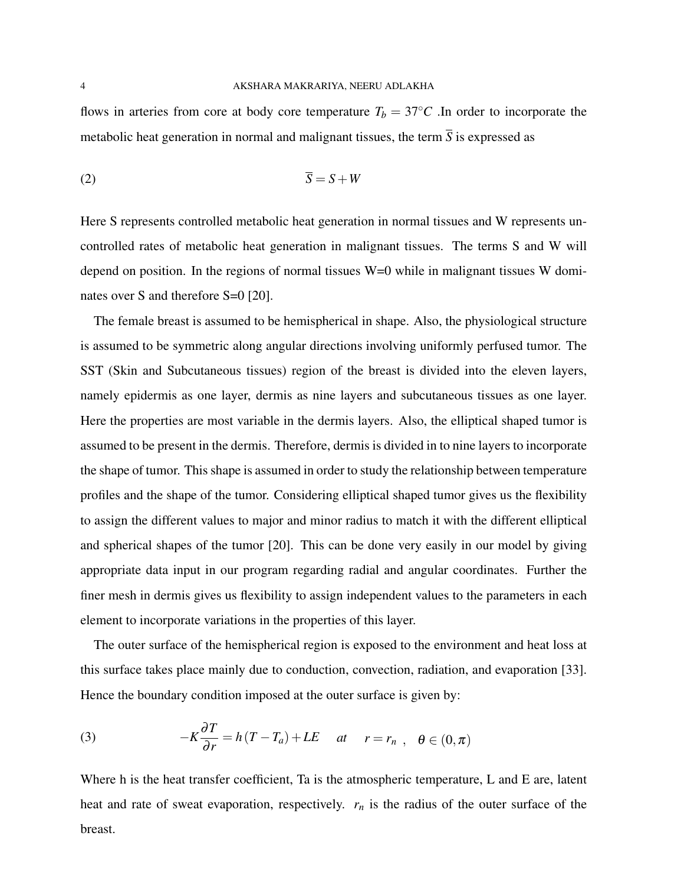flows in arteries from core at body core temperature  $T_b = 37°C$ . In order to incorporate the metabolic heat generation in normal and malignant tissues, the term  $\overline{S}$  is expressed as

$$
\overline{S} = S + W
$$

Here S represents controlled metabolic heat generation in normal tissues and W represents uncontrolled rates of metabolic heat generation in malignant tissues. The terms S and W will depend on position. In the regions of normal tissues W=0 while in malignant tissues W dominates over S and therefore S=0 [20].

The female breast is assumed to be hemispherical in shape. Also, the physiological structure is assumed to be symmetric along angular directions involving uniformly perfused tumor. The SST (Skin and Subcutaneous tissues) region of the breast is divided into the eleven layers, namely epidermis as one layer, dermis as nine layers and subcutaneous tissues as one layer. Here the properties are most variable in the dermis layers. Also, the elliptical shaped tumor is assumed to be present in the dermis. Therefore, dermis is divided in to nine layers to incorporate the shape of tumor. This shape is assumed in order to study the relationship between temperature profiles and the shape of the tumor. Considering elliptical shaped tumor gives us the flexibility to assign the different values to major and minor radius to match it with the different elliptical and spherical shapes of the tumor [20]. This can be done very easily in our model by giving appropriate data input in our program regarding radial and angular coordinates. Further the finer mesh in dermis gives us flexibility to assign independent values to the parameters in each element to incorporate variations in the properties of this layer.

The outer surface of the hemispherical region is exposed to the environment and heat loss at this surface takes place mainly due to conduction, convection, radiation, and evaporation [33]. Hence the boundary condition imposed at the outer surface is given by:

(3) 
$$
-K\frac{\partial T}{\partial r} = h(T - T_a) + LE \quad at \quad r = r_n , \quad \theta \in (0, \pi)
$$

Where h is the heat transfer coefficient, Ta is the atmospheric temperature, L and E are, latent heat and rate of sweat evaporation, respectively.  $r_n$  is the radius of the outer surface of the breast.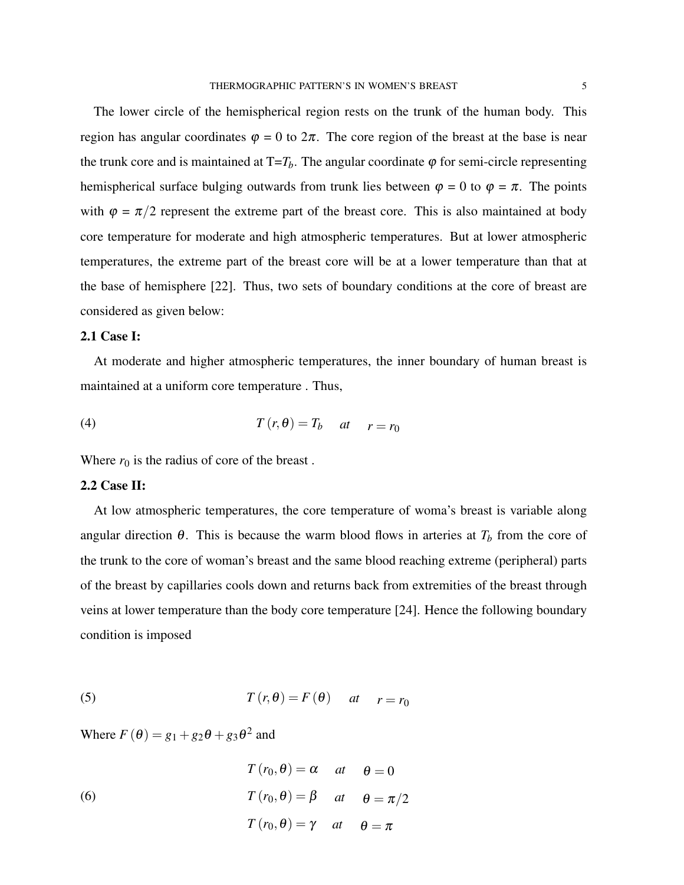The lower circle of the hemispherical region rests on the trunk of the human body. This region has angular coordinates  $\varphi = 0$  to  $2\pi$ . The core region of the breast at the base is near the trunk core and is maintained at  $T=T_b$ . The angular coordinate  $\varphi$  for semi-circle representing hemispherical surface bulging outwards from trunk lies between  $\varphi = 0$  to  $\varphi = \pi$ . The points with  $\varphi = \pi/2$  represent the extreme part of the breast core. This is also maintained at body core temperature for moderate and high atmospheric temperatures. But at lower atmospheric temperatures, the extreme part of the breast core will be at a lower temperature than that at the base of hemisphere [22]. Thus, two sets of boundary conditions at the core of breast are considered as given below:

#### 2.1 Case I:

At moderate and higher atmospheric temperatures, the inner boundary of human breast is maintained at a uniform core temperature . Thus,

(4) 
$$
T(r, \theta) = T_b \quad at \quad r = r_0
$$

Where  $r_0$  is the radius of core of the breast.

### 2.2 Case II:

At low atmospheric temperatures, the core temperature of woma's breast is variable along angular direction  $\theta$ . This is because the warm blood flows in arteries at  $T_b$  from the core of the trunk to the core of woman's breast and the same blood reaching extreme (peripheral) parts of the breast by capillaries cools down and returns back from extremities of the breast through veins at lower temperature than the body core temperature [24]. Hence the following boundary condition is imposed

(5) 
$$
T(r, \theta) = F(\theta) \quad at \quad r = r_0
$$

Where  $F(\theta) = g_1 + g_2\theta + g_3\theta^2$  and

(6)  

$$
T(r_0, \theta) = \alpha \quad at \quad \theta = 0
$$

$$
T(r_0, \theta) = \beta \quad at \quad \theta = \pi/2
$$

$$
T(r_0, \theta) = \gamma \quad at \quad \theta = \pi
$$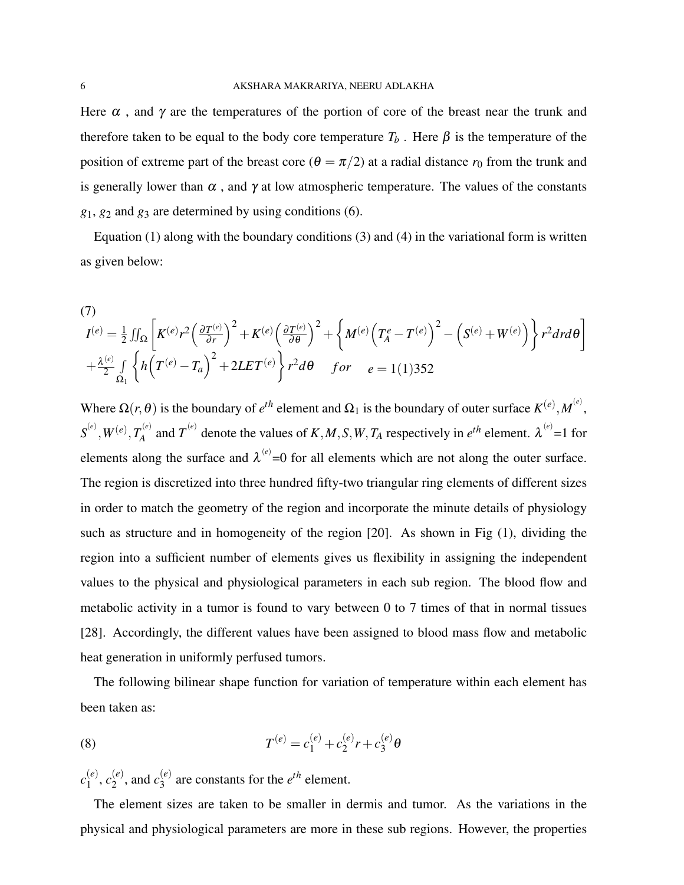Here  $\alpha$ , and  $\gamma$  are the temperatures of the portion of core of the breast near the trunk and therefore taken to be equal to the body core temperature  $T_b$ . Here  $\beta$  is the temperature of the position of extreme part of the breast core ( $\theta = \pi/2$ ) at a radial distance  $r_0$  from the trunk and is generally lower than  $\alpha$ , and  $\gamma$  at low atmospheric temperature. The values of the constants  $g_1$ ,  $g_2$  and  $g_3$  are determined by using conditions (6).

Equation  $(1)$  along with the boundary conditions  $(3)$  and  $(4)$  in the variational form is written as given below:

(7)  
\n
$$
I^{(e)} = \frac{1}{2} \iint_{\Omega} \left[ K^{(e)} r^2 \left( \frac{\partial T^{(e)}}{\partial r} \right)^2 + K^{(e)} \left( \frac{\partial T^{(e)}}{\partial \theta} \right)^2 + \left\{ M^{(e)} \left( T_A^e - T^{(e)} \right)^2 - \left( S^{(e)} + W^{(e)} \right) \right\} r^2 dr d\theta \right]
$$
\n
$$
+ \frac{\lambda^{(e)}}{2} \iint_{\Omega_1} \left\{ h \left( T^{(e)} - T_a \right)^2 + 2LET^{(e)} \right\} r^2 d\theta \quad \text{for} \quad e = 1(1)352
$$

Where  $\Omega(r, \theta)$  is the boundary of  $e^{th}$  element and  $\Omega_1$  is the boundary of outer surface  $K^{(e)}, M^{(e)},$  $\boldsymbol{S}^{(e)}, \boldsymbol{W}^{(e)}, T_A^{(e)}$  $A^{(e)}$  and  $T^{(e)}$  denote the values of *K*, *M*, *S*, *W*, *T<sub>A</sub>* respectively in *e*<sup>th</sup> element.  $\lambda^{(e)} = 1$  for elements along the surface and  $\lambda^{(e)} = 0$  for all elements which are not along the outer surface. The region is discretized into three hundred fifty-two triangular ring elements of different sizes in order to match the geometry of the region and incorporate the minute details of physiology such as structure and in homogeneity of the region [20]. As shown in Fig (1), dividing the region into a sufficient number of elements gives us flexibility in assigning the independent values to the physical and physiological parameters in each sub region. The blood flow and metabolic activity in a tumor is found to vary between 0 to 7 times of that in normal tissues [28]. Accordingly, the different values have been assigned to blood mass flow and metabolic heat generation in uniformly perfused tumors.

The following bilinear shape function for variation of temperature within each element has been taken as:

(8) 
$$
T^{(e)} = c_1^{(e)} + c_2^{(e)}r + c_3^{(e)}\theta
$$

 $c_1^{(e)}$  $\binom{(e)}{1}, \binom{(e)}{2}$  $\binom{e}{2}$ , and  $c_3^{(e)}$  $\binom{e}{3}$  are constants for the  $e^{th}$  element.

The element sizes are taken to be smaller in dermis and tumor. As the variations in the physical and physiological parameters are more in these sub regions. However, the properties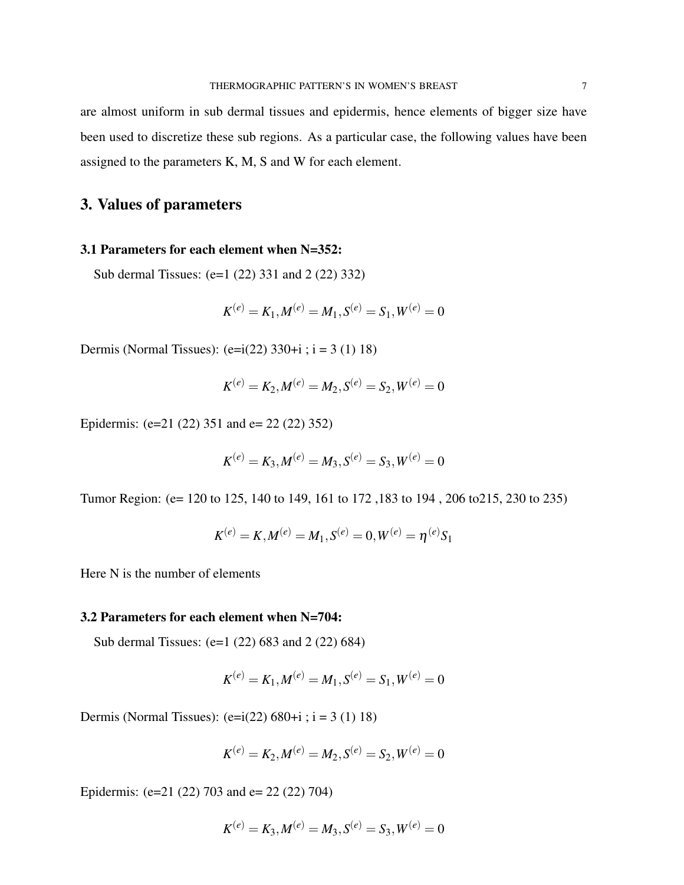are almost uniform in sub dermal tissues and epidermis, hence elements of bigger size have been used to discretize these sub regions. As a particular case, the following values have been assigned to the parameters K, M, S and W for each element.

# 3. Values of parameters

### 3.1 Parameters for each element when N=352:

Sub dermal Tissues: (e=1 (22) 331 and 2 (22) 332)

$$
K^{(e)} = K_1, M^{(e)} = M_1, S^{(e)} = S_1, W^{(e)} = 0
$$

Dermis (Normal Tissues):  $(e=i(22) 330+i ; i = 3 (1) 18)$ 

$$
K^{(e)}=K_2, M^{(e)}=M_2, S^{(e)}=S_2, W^{(e)}=0\\
$$

Epidermis: (e=21 (22) 351 and e= 22 (22) 352)

$$
K^{(e)} = K_3, M^{(e)} = M_3, S^{(e)} = S_3, W^{(e)} = 0
$$

Tumor Region: (e= 120 to 125, 140 to 149, 161 to 172 ,183 to 194 , 206 to215, 230 to 235)

$$
K^{(e)} = K, M^{(e)} = M_1, S^{(e)} = 0, W^{(e)} = \eta^{(e)}S_1
$$

Here N is the number of elements

### 3.2 Parameters for each element when N=704:

Sub dermal Tissues: (e=1 (22) 683 and 2 (22) 684)

$$
K^{(e)} = K_1, M^{(e)} = M_1, S^{(e)} = S_1, W^{(e)} = 0
$$

Dermis (Normal Tissues):  $(e=i(22) 680+i ; i = 3 (1) 18)$ 

$$
K^{(e)}=K_2, M^{(e)}=M_2, S^{(e)}=S_2, W^{(e)}=0\\
$$

Epidermis: (e=21 (22) 703 and e= 22 (22) 704)

$$
K^{(e)}=K_3, M^{(e)}=M_3, S^{(e)}=S_3, W^{(e)}=0
$$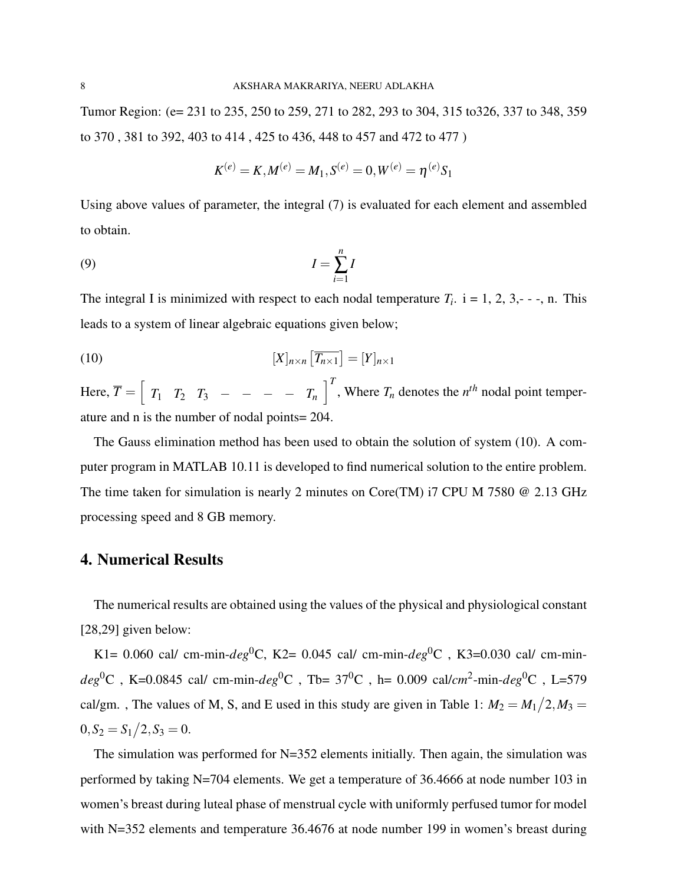Tumor Region: (e= 231 to 235, 250 to 259, 271 to 282, 293 to 304, 315 to326, 337 to 348, 359 to 370 , 381 to 392, 403 to 414 , 425 to 436, 448 to 457 and 472 to 477 )

$$
K^{(e)} = K, M^{(e)} = M_1, S^{(e)} = 0, W^{(e)} = \eta^{(e)} S_1
$$

Using above values of parameter, the integral (7) is evaluated for each element and assembled to obtain.

$$
(9) \t\t I = \sum_{i=1}^{n} I
$$

The integral I is minimized with respect to each nodal temperature  $T_i$ .  $i = 1, 2, 3, -1, n$ . This leads to a system of linear algebraic equations given below;

(10) 
$$
[X]_{n\times n} \left[\overline{T_{n\times 1}}\right] = [Y]_{n\times 1}
$$

Here,  $\overline{T} = \begin{bmatrix} T_1 & T_2 & T_3 & - & - & - & T_n \end{bmatrix}^T$ , Where  $T_n$  denotes the  $n^{th}$  nodal point temperature and n is the number of nodal points= 204.

The Gauss elimination method has been used to obtain the solution of system (10). A computer program in MATLAB 10.11 is developed to find numerical solution to the entire problem. The time taken for simulation is nearly 2 minutes on Core(TM) i7 CPU M 7580 @ 2.13 GHz processing speed and 8 GB memory.

# 4. Numerical Results

The numerical results are obtained using the values of the physical and physiological constant [28,29] given below:

K1= 0.060 cal/ cm-min-*deg*<sup>0</sup>C, K2= 0.045 cal/ cm-min-*deg*<sup>0</sup>C, K3=0.030 cal/ cm-min $deg^0\text{C}$  , K=0.0845 cal/ cm-min- $deg^0\text{C}$  , Tb= 37 $^0\text{C}$  , h= 0.009 cal/*cm*<sup>2</sup>-min- $deg^0\text{C}$  , L=579 cal/gm., The values of M, S, and E used in this study are given in Table 1:  $M_2 = M_1/2, M_3 =$  $0, S_2 = S_1/2, S_3 = 0.$ 

The simulation was performed for N=352 elements initially. Then again, the simulation was performed by taking N=704 elements. We get a temperature of 36.4666 at node number 103 in women's breast during luteal phase of menstrual cycle with uniformly perfused tumor for model with N=352 elements and temperature 36.4676 at node number 199 in women's breast during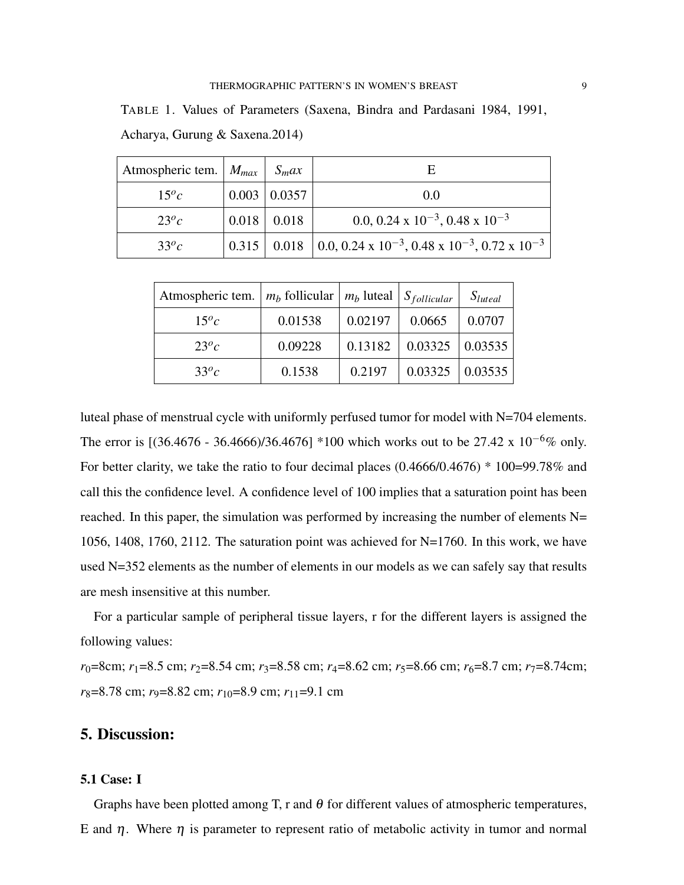TABLE 1. Values of Parameters (Saxena, Bindra and Pardasani 1984, 1991, Acharya, Gurung & Saxena.2014)

| Atmospheric tem. $ M_{max}  S_{max}$ |       |        | F                                                                           |
|--------------------------------------|-------|--------|-----------------------------------------------------------------------------|
| $15^{o}c$                            | 0.003 | 0.0357 | 0.0                                                                         |
| $23^{o}c$                            | 0.018 | 0.018  | 0.0, 0.24 x $10^{-3}$ , 0.48 x $10^{-3}$                                    |
| $33^{o}c$                            |       |        | 0.315   0.018   0.0, 0.24 x $10^{-3}$ , 0.48 x $10^{-3}$ , 0.72 x $10^{-3}$ |

| Atmospheric tem. $ m_b$ follicular $ m_b$ luteal $ S_{\text{follicular}} $ |         |         |         | $S_{luted}$ |
|----------------------------------------------------------------------------|---------|---------|---------|-------------|
| $15^{o}c$                                                                  | 0.01538 | 0.02197 | 0.0665  | 0.0707      |
| $23^{o}c$                                                                  | 0.09228 | 0.13182 | 0.03325 | 0.03535     |
| $33^{o}c$                                                                  | 0.1538  | 0.2197  | 0.03325 | 0.03535     |

luteal phase of menstrual cycle with uniformly perfused tumor for model with N=704 elements. The error is [(36.4676 - 36.4666)/36.4676] \*100 which works out to be 27.42 x 10<sup>-6</sup>% only. For better clarity, we take the ratio to four decimal places (0.4666/0.4676) \* 100=99.78% and call this the confidence level. A confidence level of 100 implies that a saturation point has been reached. In this paper, the simulation was performed by increasing the number of elements N= 1056, 1408, 1760, 2112. The saturation point was achieved for N=1760. In this work, we have used N=352 elements as the number of elements in our models as we can safely say that results are mesh insensitive at this number.

For a particular sample of peripheral tissue layers, r for the different layers is assigned the following values:

 $r_0$ =8cm;  $r_1$ =8.5 cm;  $r_2$ =8.54 cm;  $r_3$ =8.58 cm;  $r_4$ =8.62 cm;  $r_5$ =8.66 cm;  $r_6$ =8.7 cm;  $r_7$ =8.74cm; *r*<sub>8</sub>=8.78 cm; *r*<sub>9</sub>=8.82 cm; *r*<sub>10</sub>=8.9 cm; *r*<sub>11</sub>=9.1 cm

# 5. Discussion:

#### 5.1 Case: I

Graphs have been plotted among T, r and  $\theta$  for different values of atmospheric temperatures, E and  $\eta$ . Where  $\eta$  is parameter to represent ratio of metabolic activity in tumor and normal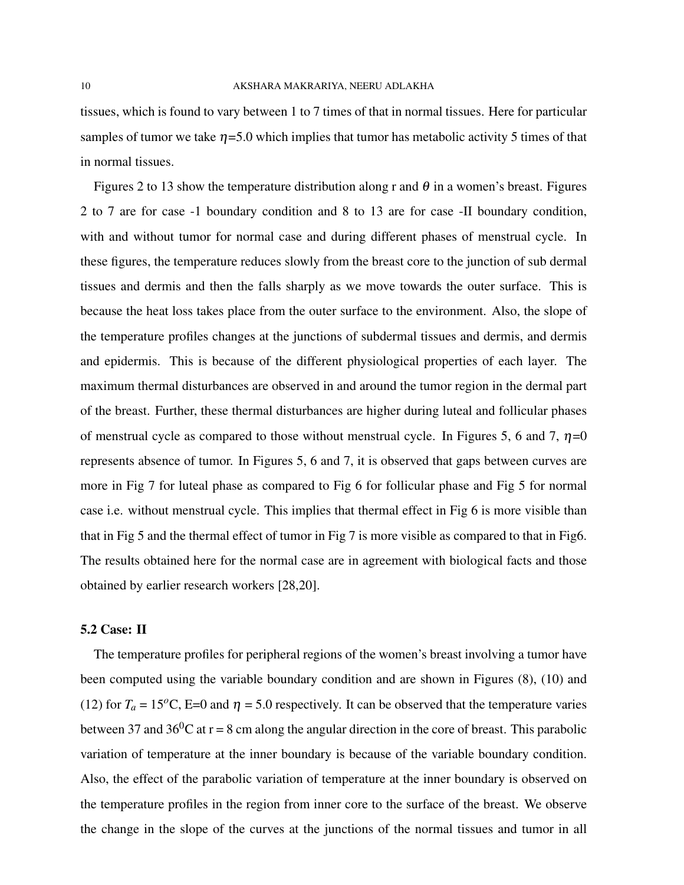tissues, which is found to vary between 1 to 7 times of that in normal tissues. Here for particular samples of tumor we take  $\eta = 5.0$  which implies that tumor has metabolic activity 5 times of that in normal tissues.

Figures 2 to 13 show the temperature distribution along r and  $\theta$  in a women's breast. Figures 2 to 7 are for case -1 boundary condition and 8 to 13 are for case -II boundary condition, with and without tumor for normal case and during different phases of menstrual cycle. In these figures, the temperature reduces slowly from the breast core to the junction of sub dermal tissues and dermis and then the falls sharply as we move towards the outer surface. This is because the heat loss takes place from the outer surface to the environment. Also, the slope of the temperature profiles changes at the junctions of subdermal tissues and dermis, and dermis and epidermis. This is because of the different physiological properties of each layer. The maximum thermal disturbances are observed in and around the tumor region in the dermal part of the breast. Further, these thermal disturbances are higher during luteal and follicular phases of menstrual cycle as compared to those without menstrual cycle. In Figures 5, 6 and 7,  $\eta$ =0 represents absence of tumor. In Figures 5, 6 and 7, it is observed that gaps between curves are more in Fig 7 for luteal phase as compared to Fig 6 for follicular phase and Fig 5 for normal case i.e. without menstrual cycle. This implies that thermal effect in Fig 6 is more visible than that in Fig 5 and the thermal effect of tumor in Fig 7 is more visible as compared to that in Fig6. The results obtained here for the normal case are in agreement with biological facts and those obtained by earlier research workers [28,20].

#### 5.2 Case: II

The temperature profiles for peripheral regions of the women's breast involving a tumor have been computed using the variable boundary condition and are shown in Figures (8), (10) and (12) for  $T_a = 15^{\circ}\text{C}$ , E=0 and  $\eta = 5.0$  respectively. It can be observed that the temperature varies between 37 and 36<sup>0</sup>C at  $r = 8$  cm along the angular direction in the core of breast. This parabolic variation of temperature at the inner boundary is because of the variable boundary condition. Also, the effect of the parabolic variation of temperature at the inner boundary is observed on the temperature profiles in the region from inner core to the surface of the breast. We observe the change in the slope of the curves at the junctions of the normal tissues and tumor in all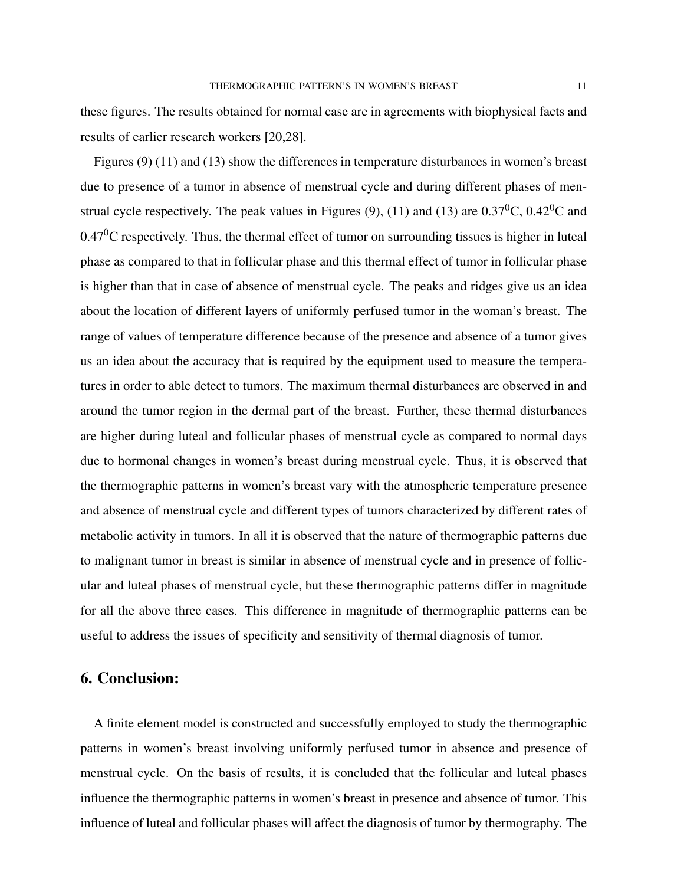these figures. The results obtained for normal case are in agreements with biophysical facts and results of earlier research workers [20,28].

Figures (9) (11) and (13) show the differences in temperature disturbances in women's breast due to presence of a tumor in absence of menstrual cycle and during different phases of menstrual cycle respectively. The peak values in Figures (9), (11) and (13) are  $0.37^0C$ ,  $0.42^0C$  and  $0.47<sup>0</sup>C$  respectively. Thus, the thermal effect of tumor on surrounding tissues is higher in luteal phase as compared to that in follicular phase and this thermal effect of tumor in follicular phase is higher than that in case of absence of menstrual cycle. The peaks and ridges give us an idea about the location of different layers of uniformly perfused tumor in the woman's breast. The range of values of temperature difference because of the presence and absence of a tumor gives us an idea about the accuracy that is required by the equipment used to measure the temperatures in order to able detect to tumors. The maximum thermal disturbances are observed in and around the tumor region in the dermal part of the breast. Further, these thermal disturbances are higher during luteal and follicular phases of menstrual cycle as compared to normal days due to hormonal changes in women's breast during menstrual cycle. Thus, it is observed that the thermographic patterns in women's breast vary with the atmospheric temperature presence and absence of menstrual cycle and different types of tumors characterized by different rates of metabolic activity in tumors. In all it is observed that the nature of thermographic patterns due to malignant tumor in breast is similar in absence of menstrual cycle and in presence of follicular and luteal phases of menstrual cycle, but these thermographic patterns differ in magnitude for all the above three cases. This difference in magnitude of thermographic patterns can be useful to address the issues of specificity and sensitivity of thermal diagnosis of tumor.

### 6. Conclusion:

A finite element model is constructed and successfully employed to study the thermographic patterns in women's breast involving uniformly perfused tumor in absence and presence of menstrual cycle. On the basis of results, it is concluded that the follicular and luteal phases influence the thermographic patterns in women's breast in presence and absence of tumor. This influence of luteal and follicular phases will affect the diagnosis of tumor by thermography. The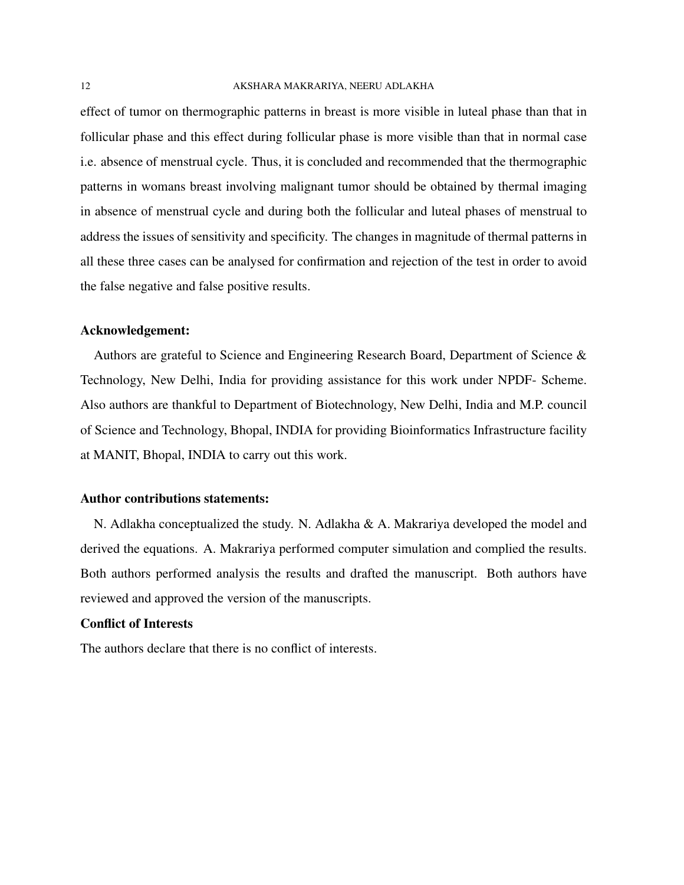effect of tumor on thermographic patterns in breast is more visible in luteal phase than that in follicular phase and this effect during follicular phase is more visible than that in normal case i.e. absence of menstrual cycle. Thus, it is concluded and recommended that the thermographic patterns in womans breast involving malignant tumor should be obtained by thermal imaging in absence of menstrual cycle and during both the follicular and luteal phases of menstrual to address the issues of sensitivity and specificity. The changes in magnitude of thermal patterns in all these three cases can be analysed for confirmation and rejection of the test in order to avoid the false negative and false positive results.

#### Acknowledgement:

Authors are grateful to Science and Engineering Research Board, Department of Science & Technology, New Delhi, India for providing assistance for this work under NPDF- Scheme. Also authors are thankful to Department of Biotechnology, New Delhi, India and M.P. council of Science and Technology, Bhopal, INDIA for providing Bioinformatics Infrastructure facility at MANIT, Bhopal, INDIA to carry out this work.

### Author contributions statements:

N. Adlakha conceptualized the study. N. Adlakha & A. Makrariya developed the model and derived the equations. A. Makrariya performed computer simulation and complied the results. Both authors performed analysis the results and drafted the manuscript. Both authors have reviewed and approved the version of the manuscripts.

### Conflict of Interests

The authors declare that there is no conflict of interests.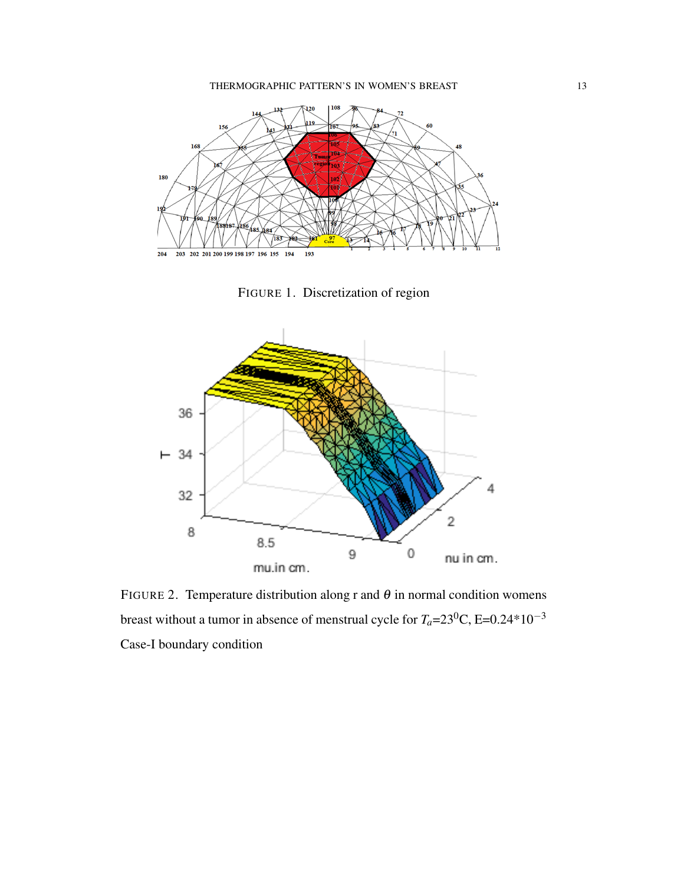

FIGURE 1. Discretization of region



FIGURE 2. Temperature distribution along r and  $\theta$  in normal condition womens breast without a tumor in absence of menstrual cycle for  $T_a=23^0C$ , E=0.24\*10<sup>-3</sup> Case-I boundary condition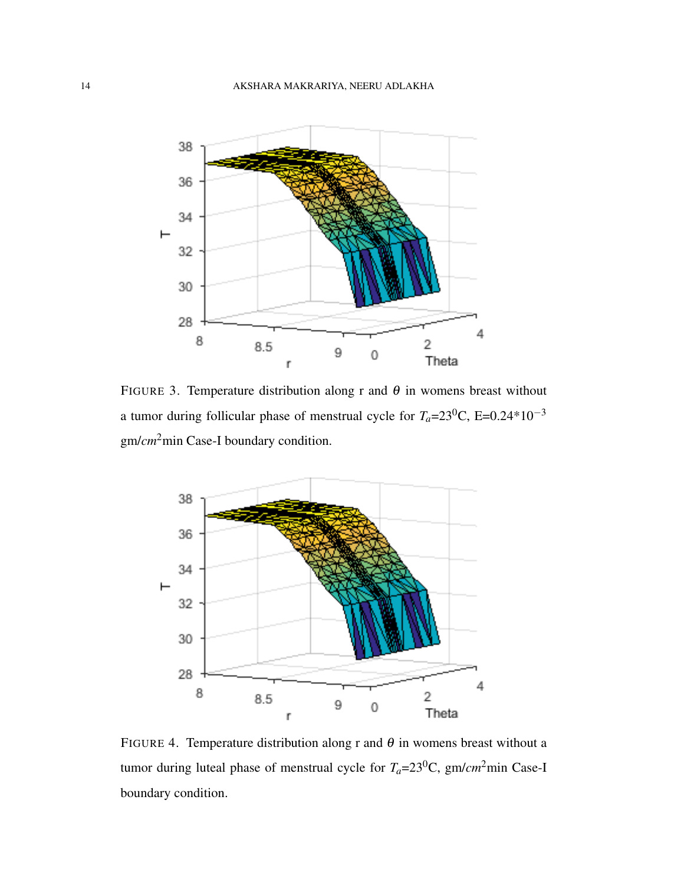

FIGURE 3. Temperature distribution along r and  $\theta$  in womens breast without a tumor during follicular phase of menstrual cycle for  $T_a=23^0C$ , E=0.24\*10<sup>-3</sup> gm/*cm*2min Case-I boundary condition.



FIGURE 4. Temperature distribution along r and  $\theta$  in womens breast without a tumor during luteal phase of menstrual cycle for  $T_a = 23^0C$ , gm/*cm*<sup>2</sup>min Case-I boundary condition.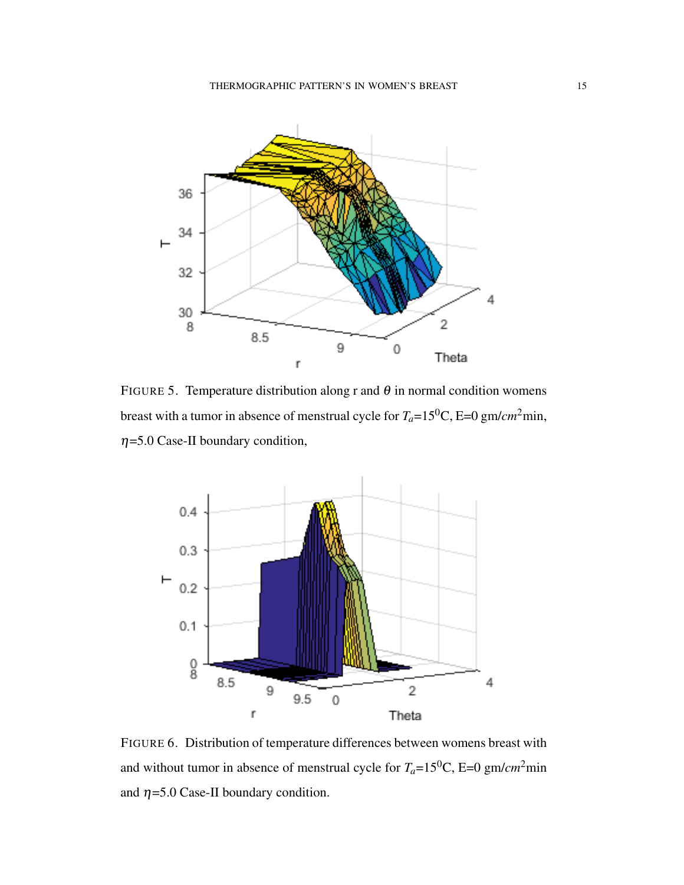

FIGURE 5. Temperature distribution along r and  $\theta$  in normal condition womens breast with a tumor in absence of menstrual cycle for *Ta*=150C, E=0 gm/*cm*2min,  $\eta$ =5.0 Case-II boundary condition,



FIGURE 6. Distribution of temperature differences between womens breast with and without tumor in absence of menstrual cycle for  $T_a=15^0C$ , E=0 gm/*cm*<sup>2</sup>min and  $\eta = 5.0$  Case-II boundary condition.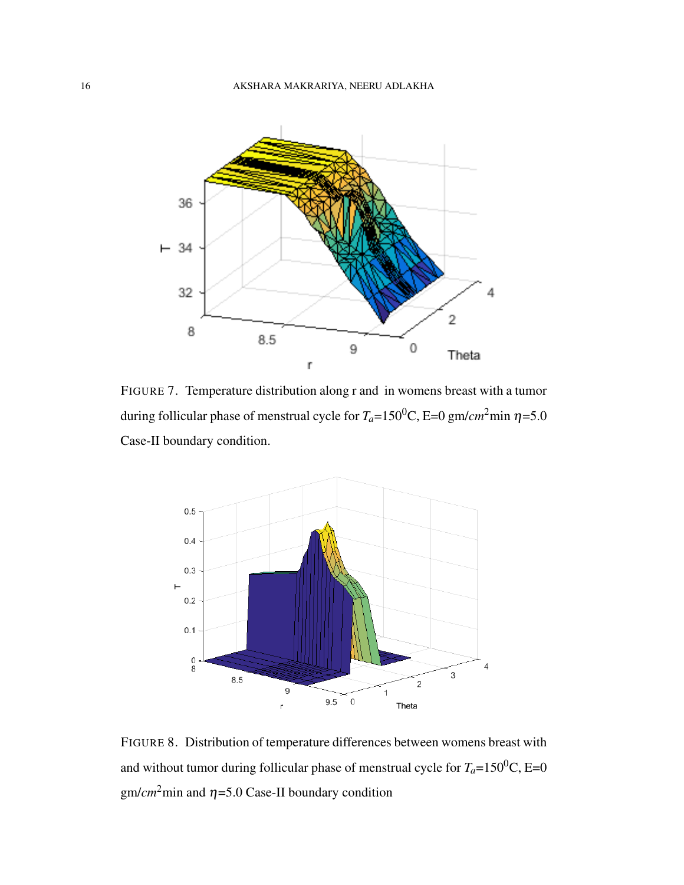

FIGURE 7. Temperature distribution along r and in womens breast with a tumor during follicular phase of menstrual cycle for  $T_a=150^0$ C, E=0 gm/*cm*<sup>2</sup>min  $\eta=5.0$ Case-II boundary condition.



FIGURE 8. Distribution of temperature differences between womens breast with and without tumor during follicular phase of menstrual cycle for  $T_a=150^0C$ , E=0 gm/ $cm<sup>2</sup>$ min and  $\eta$ =5.0 Case-II boundary condition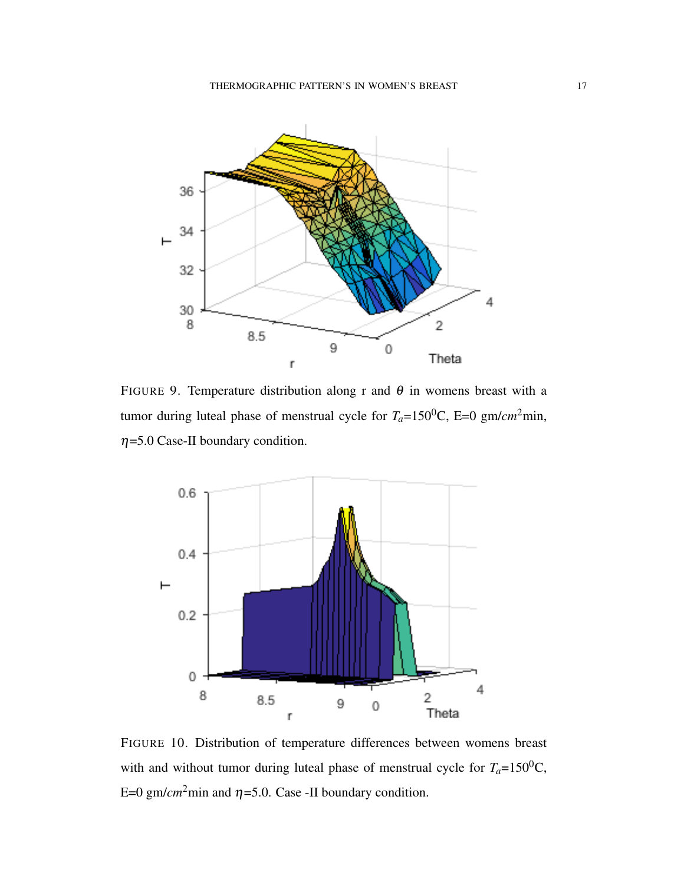

FIGURE 9. Temperature distribution along r and  $\theta$  in womens breast with a tumor during luteal phase of menstrual cycle for  $T_a=150^0C$ , E=0 gm/*cm*<sup>2</sup>min,  $\eta$ =5.0 Case-II boundary condition.



FIGURE 10. Distribution of temperature differences between womens breast with and without tumor during luteal phase of menstrual cycle for  $T_a=150^0C$ , E=0 gm/*cm*<sup>2</sup>min and  $\eta$ =5.0. Case -II boundary condition.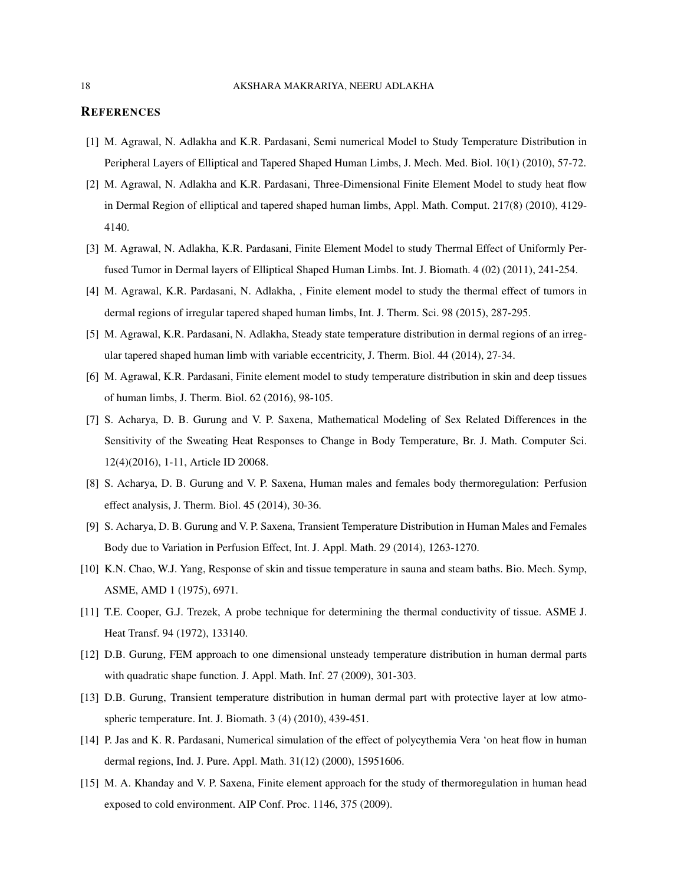#### **REFERENCES**

- [1] M. Agrawal, N. Adlakha and K.R. Pardasani, Semi numerical Model to Study Temperature Distribution in Peripheral Layers of Elliptical and Tapered Shaped Human Limbs, J. Mech. Med. Biol. 10(1) (2010), 57-72.
- [2] M. Agrawal, N. Adlakha and K.R. Pardasani, Three-Dimensional Finite Element Model to study heat flow in Dermal Region of elliptical and tapered shaped human limbs, Appl. Math. Comput. 217(8) (2010), 4129- 4140.
- [3] M. Agrawal, N. Adlakha, K.R. Pardasani, Finite Element Model to study Thermal Effect of Uniformly Perfused Tumor in Dermal layers of Elliptical Shaped Human Limbs. Int. J. Biomath. 4 (02) (2011), 241-254.
- [4] M. Agrawal, K.R. Pardasani, N. Adlakha, , Finite element model to study the thermal effect of tumors in dermal regions of irregular tapered shaped human limbs, Int. J. Therm. Sci. 98 (2015), 287-295.
- [5] M. Agrawal, K.R. Pardasani, N. Adlakha, Steady state temperature distribution in dermal regions of an irregular tapered shaped human limb with variable eccentricity, J. Therm. Biol. 44 (2014), 27-34.
- [6] M. Agrawal, K.R. Pardasani, Finite element model to study temperature distribution in skin and deep tissues of human limbs, J. Therm. Biol. 62 (2016), 98-105.
- [7] S. Acharya, D. B. Gurung and V. P. Saxena, Mathematical Modeling of Sex Related Differences in the Sensitivity of the Sweating Heat Responses to Change in Body Temperature, Br. J. Math. Computer Sci. 12(4)(2016), 1-11, Article ID 20068.
- [8] S. Acharya, D. B. Gurung and V. P. Saxena, Human males and females body thermoregulation: Perfusion effect analysis, J. Therm. Biol. 45 (2014), 30-36.
- [9] S. Acharya, D. B. Gurung and V. P. Saxena, Transient Temperature Distribution in Human Males and Females Body due to Variation in Perfusion Effect, Int. J. Appl. Math. 29 (2014), 1263-1270.
- [10] K.N. Chao, W.J. Yang, Response of skin and tissue temperature in sauna and steam baths. Bio. Mech. Symp, ASME, AMD 1 (1975), 6971.
- [11] T.E. Cooper, G.J. Trezek, A probe technique for determining the thermal conductivity of tissue. ASME J. Heat Transf. 94 (1972), 133140.
- [12] D.B. Gurung, FEM approach to one dimensional unsteady temperature distribution in human dermal parts with quadratic shape function. J. Appl. Math. Inf. 27 (2009), 301-303.
- [13] D.B. Gurung, Transient temperature distribution in human dermal part with protective layer at low atmospheric temperature. Int. J. Biomath. 3 (4) (2010), 439-451.
- [14] P. Jas and K. R. Pardasani, Numerical simulation of the effect of polycythemia Vera 'on heat flow in human dermal regions, Ind. J. Pure. Appl. Math. 31(12) (2000), 15951606.
- [15] M. A. Khanday and V. P. Saxena, Finite element approach for the study of thermoregulation in human head exposed to cold environment. AIP Conf. Proc. 1146, 375 (2009).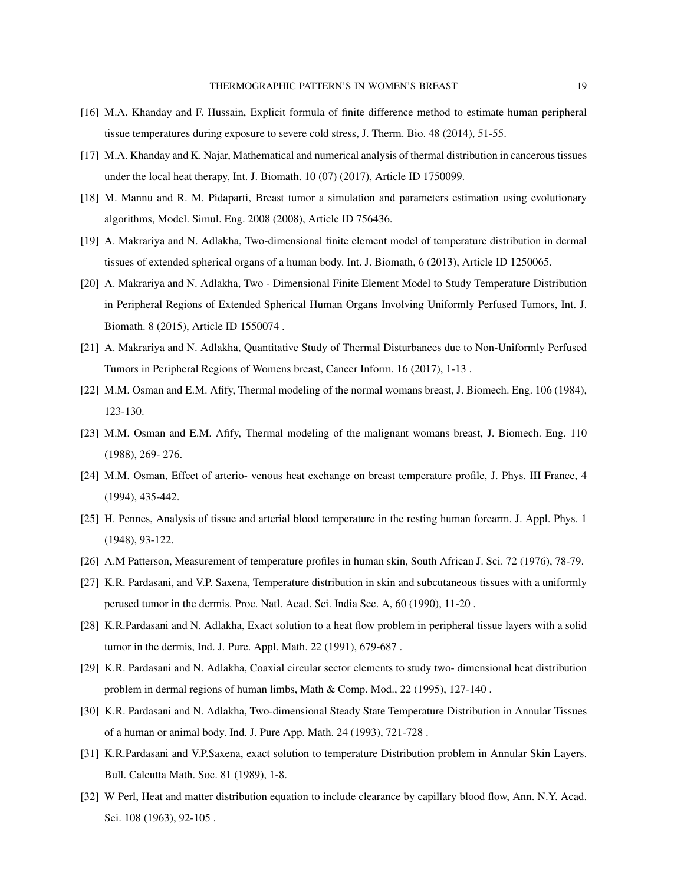- [16] M.A. Khanday and F. Hussain, Explicit formula of finite difference method to estimate human peripheral tissue temperatures during exposure to severe cold stress, J. Therm. Bio. 48 (2014), 51-55.
- [17] M.A. Khanday and K. Najar, Mathematical and numerical analysis of thermal distribution in cancerous tissues under the local heat therapy, Int. J. Biomath. 10 (07) (2017), Article ID 1750099.
- [18] M. Mannu and R. M. Pidaparti, Breast tumor a simulation and parameters estimation using evolutionary algorithms, Model. Simul. Eng. 2008 (2008), Article ID 756436.
- [19] A. Makrariya and N. Adlakha, Two-dimensional finite element model of temperature distribution in dermal tissues of extended spherical organs of a human body. Int. J. Biomath, 6 (2013), Article ID 1250065.
- [20] A. Makrariya and N. Adlakha, Two Dimensional Finite Element Model to Study Temperature Distribution in Peripheral Regions of Extended Spherical Human Organs Involving Uniformly Perfused Tumors, Int. J. Biomath. 8 (2015), Article ID 1550074 .
- [21] A. Makrariya and N. Adlakha, Quantitative Study of Thermal Disturbances due to Non-Uniformly Perfused Tumors in Peripheral Regions of Womens breast, Cancer Inform. 16 (2017), 1-13 .
- [22] M.M. Osman and E.M. Afify, Thermal modeling of the normal womans breast, J. Biomech. Eng. 106 (1984), 123-130.
- [23] M.M. Osman and E.M. Afify, Thermal modeling of the malignant womans breast, J. Biomech. Eng. 110 (1988), 269- 276.
- [24] M.M. Osman, Effect of arterio- venous heat exchange on breast temperature profile, J. Phys. III France, 4 (1994), 435-442.
- [25] H. Pennes, Analysis of tissue and arterial blood temperature in the resting human forearm. J. Appl. Phys. 1 (1948), 93-122.
- [26] A.M Patterson, Measurement of temperature profiles in human skin, South African J. Sci. 72 (1976), 78-79.
- [27] K.R. Pardasani, and V.P. Saxena, Temperature distribution in skin and subcutaneous tissues with a uniformly perused tumor in the dermis. Proc. Natl. Acad. Sci. India Sec. A, 60 (1990), 11-20 .
- [28] K.R.Pardasani and N. Adlakha, Exact solution to a heat flow problem in peripheral tissue layers with a solid tumor in the dermis, Ind. J. Pure. Appl. Math. 22 (1991), 679-687 .
- [29] K.R. Pardasani and N. Adlakha, Coaxial circular sector elements to study two- dimensional heat distribution problem in dermal regions of human limbs, Math & Comp. Mod., 22 (1995), 127-140 .
- [30] K.R. Pardasani and N. Adlakha, Two-dimensional Steady State Temperature Distribution in Annular Tissues of a human or animal body. Ind. J. Pure App. Math. 24 (1993), 721-728 .
- [31] K.R.Pardasani and V.P.Saxena, exact solution to temperature Distribution problem in Annular Skin Layers. Bull. Calcutta Math. Soc. 81 (1989), 1-8.
- [32] W Perl, Heat and matter distribution equation to include clearance by capillary blood flow, Ann. N.Y. Acad. Sci. 108 (1963), 92-105 .